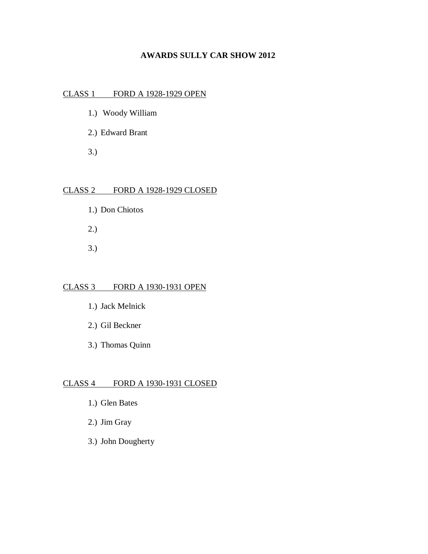## **AWARDS SULLY CAR SHOW 2012**

# CLASS 1 FORD A 1928-1929 OPEN

- 1.) Woody William
- 2.) Edward Brant
- 3.)

## CLASS 2 FORD A 1928-1929 CLOSED

- 1.) Don Chiotos
- 2.)
- 3.)

# CLASS 3 FORD A 1930-1931 OPEN

- 1.) Jack Melnick
- 2.) Gil Beckner
- 3.) Thomas Quinn

# CLASS 4 FORD A 1930-1931 CLOSED

- 1.) Glen Bates
- 2.) Jim Gray
- 3.) John Dougherty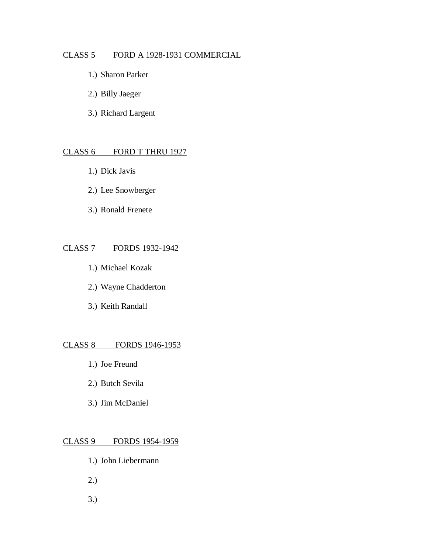#### CLASS 5 FORD A 1928-1931 COMMERCIAL

- 1.) Sharon Parker
- 2.) Billy Jaeger
- 3.) Richard Largent

## CLASS 6 FORD T THRU 1927

- 1.) Dick Javis
- 2.) Lee Snowberger
- 3.) Ronald Frenete

#### CLASS 7 FORDS 1932-1942

- 1.) Michael Kozak
- 2.) Wayne Chadderton
- 3.) Keith Randall

#### CLASS 8 FORDS 1946-1953

- 1.) Joe Freund
- 2.) Butch Sevila
- 3.) Jim McDaniel

#### CLASS 9 FORDS 1954-1959

- 1.) John Liebermann
- 2.)
- 3.)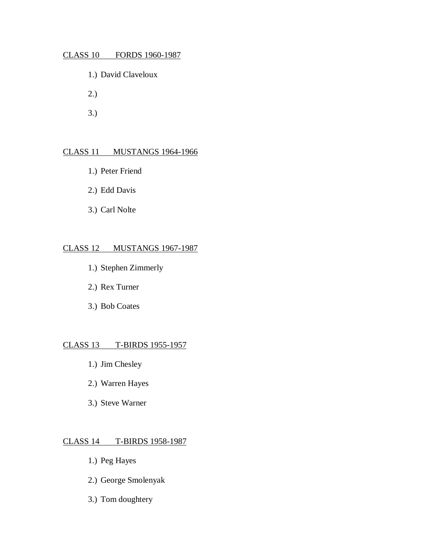#### CLASS 10 FORDS 1960-1987

- 1.) David Claveloux
- 2.)
- 3.)

# CLASS 11 MUSTANGS 1964-1966

- 1.) Peter Friend
- 2.) Edd Davis
- 3.) Carl Nolte

#### CLASS 12 MUSTANGS 1967-1987

- 1.) Stephen Zimmerly
- 2.) Rex Turner
- 3.) Bob Coates

#### CLASS 13 T-BIRDS 1955-1957

- 1.) Jim Chesley
- 2.) Warren Hayes
- 3.) Steve Warner

#### CLASS 14 T-BIRDS 1958-1987

- 1.) Peg Hayes
- 2.) George Smolenyak
- 3.) Tom doughtery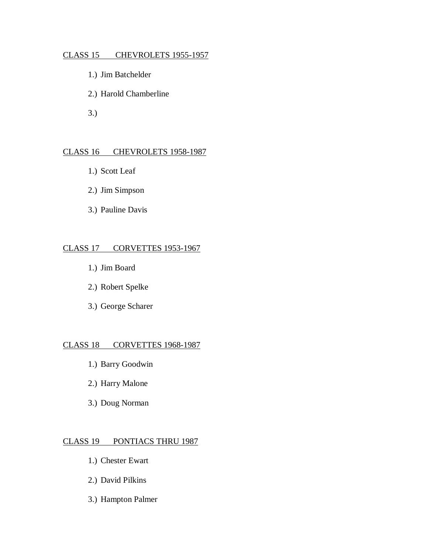#### CLASS 15 CHEVROLETS 1955-1957

- 1.) Jim Batchelder
- 2.) Harold Chamberline
- 3.)

#### CLASS 16 CHEVROLETS 1958-1987

- 1.) Scott Leaf
- 2.) Jim Simpson
- 3.) Pauline Davis

#### CLASS 17 CORVETTES 1953-1967

- 1.) Jim Board
- 2.) Robert Spelke
- 3.) George Scharer

#### CLASS 18 CORVETTES 1968-1987

- 1.) Barry Goodwin
- 2.) Harry Malone
- 3.) Doug Norman

#### CLASS 19 PONTIACS THRU 1987

- 1.) Chester Ewart
- 2.) David Pilkins
- 3.) Hampton Palmer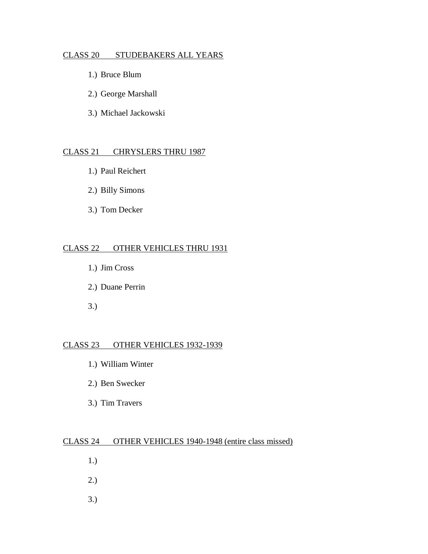### CLASS 20 STUDEBAKERS ALL YEARS

- 1.) Bruce Blum
- 2.) George Marshall
- 3.) Michael Jackowski

#### CLASS 21 CHRYSLERS THRU 1987

- 1.) Paul Reichert
- 2.) Billy Simons
- 3.) Tom Decker

#### CLASS 22 OTHER VEHICLES THRU 1931

- 1.) Jim Cross
- 2.) Duane Perrin
- 3.)

# CLASS 23 OTHER VEHICLES 1932-1939

- 1.) William Winter
- 2.) Ben Swecker
- 3.) Tim Travers

## CLASS 24 OTHER VEHICLES 1940-1948 (entire class missed)

- 1.)
- 2.)
- 3.)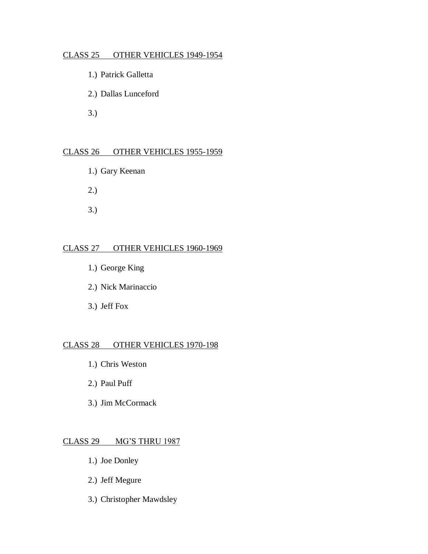#### CLASS 25 OTHER VEHICLES 1949-1954

- 1.) Patrick Galletta
- 2.) Dallas Lunceford
- 3.)

# CLASS 26 OTHER VEHICLES 1955-1959

- 1.) Gary Keenan
- 2.)
- 3.)

### CLASS 27 OTHER VEHICLES 1960-1969

- 1.) George King
- 2.) Nick Marinaccio
- 3.) Jeff Fox

## CLASS 28 OTHER VEHICLES 1970-198

- 1.) Chris Weston
- 2.) Paul Puff
- 3.) Jim McCormack

# CLASS 29 MG'S THRU 1987

- 1.) Joe Donley
- 2.) Jeff Megure
- 3.) Christopher Mawdsley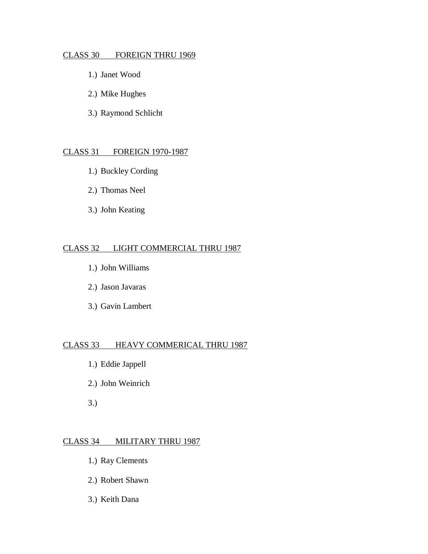### CLASS 30 FOREIGN THRU 1969

- 1.) Janet Wood
- 2.) Mike Hughes
- 3.) Raymond Schlicht

#### CLASS 31 FOREIGN 1970-1987

- 1.) Buckley Cording
- 2.) Thomas Neel
- 3.) John Keating

#### CLASS 32 LIGHT COMMERCIAL THRU 1987

- 1.) John Williams
- 2.) Jason Javaras
- 3.) Gavin Lambert

## CLASS 33 HEAVY COMMERICAL THRU 1987

- 1.) Eddie Jappell
- 2.) John Weinrich
- 3.)

#### CLASS 34 MILITARY THRU 1987

- 1.) Ray Clements
- 2.) Robert Shawn
- 3.) Keith Dana